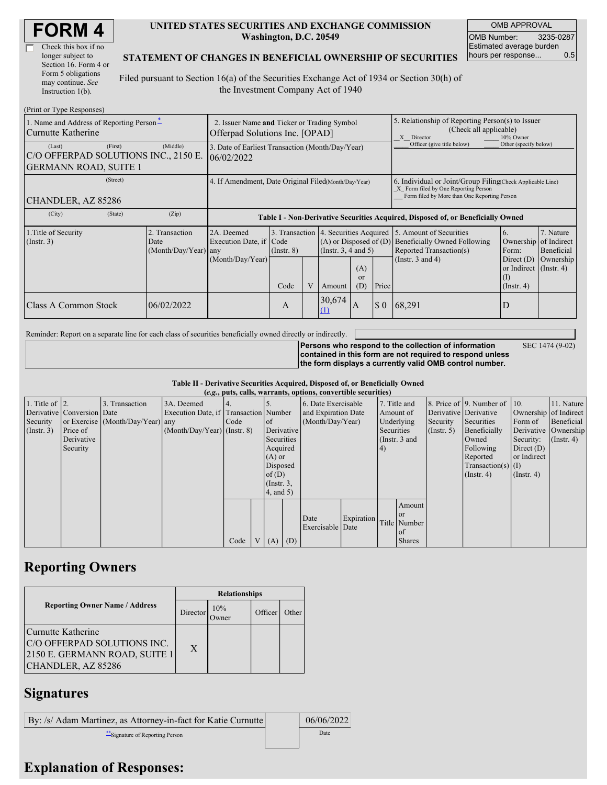| Check this box if no  |
|-----------------------|
| longer subject to     |
| Section 16. Form 4 or |
| Form 5 obligations    |
| may continue. See     |
| Instruction 1(b).     |

#### **UNITED STATES SECURITIES AND EXCHANGE COMMISSION Washington, D.C. 20549**

OMB APPROVAL OMB Number: 3235-0287 Estimated average burden hours per response... 0.5

SEC 1474 (9-02)

#### **STATEMENT OF CHANGES IN BENEFICIAL OWNERSHIP OF SECURITIES**

Filed pursuant to Section 16(a) of the Securities Exchange Act of 1934 or Section 30(h) of the Investment Company Act of 1940

| (Print or Type Responses)                                                                 |                                                                               |                                                                                  |                 |  |                                                                                             |                  |                                                                                                                                                    |                                                                                                             |                                                                                              |                                      |
|-------------------------------------------------------------------------------------------|-------------------------------------------------------------------------------|----------------------------------------------------------------------------------|-----------------|--|---------------------------------------------------------------------------------------------|------------------|----------------------------------------------------------------------------------------------------------------------------------------------------|-------------------------------------------------------------------------------------------------------------|----------------------------------------------------------------------------------------------|--------------------------------------|
| 1. Name and Address of Reporting Person-<br>Curnutte Katherine                            | 2. Issuer Name and Ticker or Trading Symbol<br>Offerpad Solutions Inc. [OPAD] |                                                                                  |                 |  |                                                                                             |                  | 5. Relationship of Reporting Person(s) to Issuer<br>(Check all applicable)<br>X Director<br>10% Owner                                              |                                                                                                             |                                                                                              |                                      |
| (First)<br>(Last)<br>C/O OFFERPAD SOLUTIONS INC., 2150 E.<br><b>GERMANN ROAD, SUITE 1</b> | 3. Date of Earliest Transaction (Month/Day/Year)<br>06/02/2022                |                                                                                  |                 |  |                                                                                             |                  | Officer (give title below)                                                                                                                         | Other (specify below)                                                                                       |                                                                                              |                                      |
| (Street)<br>CHANDLER, AZ 85286                                                            | 4. If Amendment, Date Original Filed(Month/Day/Year)                          |                                                                                  |                 |  |                                                                                             |                  | 6. Individual or Joint/Group Filing Check Applicable Line)<br>X Form filed by One Reporting Person<br>Form filed by More than One Reporting Person |                                                                                                             |                                                                                              |                                      |
| (City)<br>(State)                                                                         | (Zip)                                                                         | Table I - Non-Derivative Securities Acquired, Disposed of, or Beneficially Owned |                 |  |                                                                                             |                  |                                                                                                                                                    |                                                                                                             |                                                                                              |                                      |
| 1. Title of Security<br>$($ Instr. 3 $)$                                                  | 2. Transaction<br>Date<br>(Month/Day/Year) any                                | 2A. Deemed<br>Execution Date, if Code<br>(Month/Day/Year)                        | $($ Instr. $8)$ |  | 3. Transaction 4. Securities Acquired<br>$(A)$ or Disposed of $(D)$<br>(Insert. 3, 4 and 5) |                  |                                                                                                                                                    | 5. Amount of Securities<br>Beneficially Owned Following<br>Reported Transaction(s)<br>(Instr. $3$ and $4$ ) | <sup>6.</sup><br>Ownership of Indirect<br>Form:<br>Direct $(D)$<br>or Indirect $($ Instr. 4) | 7. Nature<br>Beneficial<br>Ownership |
|                                                                                           |                                                                               |                                                                                  | Code            |  | Amount                                                                                      | (A)<br>or<br>(D) | Price                                                                                                                                              |                                                                                                             | $\left( \Gamma \right)$<br>$($ Instr. 4 $)$                                                  |                                      |
| Class A Common Stock                                                                      | 06/02/2022                                                                    |                                                                                  | А               |  | 30,674<br>(1)                                                                               | A                | $\boldsymbol{\mathsf{S}}$ 0                                                                                                                        | 68,291                                                                                                      | D                                                                                            |                                      |

Reminder: Report on a separate line for each class of securities beneficially owned directly or indirectly.

**Persons who respond to the collection of information contained in this form are not required to respond unless the form displays a currently valid OMB control number.**

**Table II - Derivative Securities Acquired, Disposed of, or Beneficially Owned**

|                        | (e.g., puts, calls, warrants, options, convertible securities) |                                  |                                       |        |                |                  |     |                          |            |            |               |             |                              |                       |                      |
|------------------------|----------------------------------------------------------------|----------------------------------|---------------------------------------|--------|----------------|------------------|-----|--------------------------|------------|------------|---------------|-------------|------------------------------|-----------------------|----------------------|
| 1. Title of $\vert$ 2. |                                                                | 3. Transaction                   | 3A. Deemed                            |        |                |                  |     | 6. Date Exercisable      |            |            | 7. Title and  |             | 8. Price of 9. Number of 10. |                       | 11. Nature           |
|                        | Derivative Conversion Date                                     |                                  | Execution Date, if Transaction Number |        |                |                  |     | and Expiration Date      |            |            | Amount of     |             | Derivative Derivative        | Ownership of Indirect |                      |
| Security               |                                                                | or Exercise (Month/Day/Year) any |                                       | I Code |                | <sub>of</sub>    |     | (Month/Day/Year)         |            |            | Underlying    | Security    | Securities                   | Form of               | Beneficial           |
| (Insert. 3)            | Price of                                                       |                                  | $(Month/Day/Year)$ (Instr. 8)         |        |                | Derivative       |     |                          |            | Securities |               | (Insert, 5) | Beneficially                 |                       | Derivative Ownership |
|                        | Derivative                                                     |                                  |                                       |        |                | Securities       |     |                          |            |            | (Instr. 3 and |             | Owned                        | Security:             | $($ Instr. 4)        |
|                        | Security                                                       |                                  |                                       |        |                | Acquired         |     |                          |            | (4)        |               |             | Following                    | Direct $(D)$          |                      |
|                        |                                                                |                                  |                                       |        |                | $(A)$ or         |     |                          |            |            |               |             | Reported                     | or Indirect           |                      |
|                        |                                                                |                                  |                                       |        |                | Disposed         |     |                          |            |            |               |             | $Transaction(s)$ (I)         |                       |                      |
|                        |                                                                |                                  |                                       |        |                | of $(D)$         |     |                          |            |            |               |             | $($ Instr. 4 $)$             | $($ Instr. 4 $)$      |                      |
|                        |                                                                |                                  |                                       |        |                | $($ Instr. $3$ , |     |                          |            |            |               |             |                              |                       |                      |
|                        |                                                                |                                  |                                       |        |                | $4$ , and 5)     |     |                          |            |            |               |             |                              |                       |                      |
|                        |                                                                |                                  |                                       |        |                |                  |     |                          |            |            | Amount        |             |                              |                       |                      |
|                        |                                                                |                                  |                                       |        |                |                  |     |                          |            |            | <b>or</b>     |             |                              |                       |                      |
|                        |                                                                |                                  |                                       |        |                |                  |     | Date<br>Exercisable Date | Expiration |            | Title Number  |             |                              |                       |                      |
|                        |                                                                |                                  |                                       |        |                |                  |     |                          |            |            | of            |             |                              |                       |                      |
|                        |                                                                |                                  |                                       | Code   | V <sub>1</sub> | (A)              | (D) |                          |            |            | <b>Shares</b> |             |                              |                       |                      |

## **Reporting Owners**

|                                                                                                          | <b>Relationships</b> |                     |         |       |  |  |  |
|----------------------------------------------------------------------------------------------------------|----------------------|---------------------|---------|-------|--|--|--|
| <b>Reporting Owner Name / Address</b>                                                                    | Director             | 10%<br><b>Twner</b> | Officer | Other |  |  |  |
| Curnutte Katherine<br>C/O OFFERPAD SOLUTIONS INC.<br>2150 E. GERMANN ROAD, SUITE 1<br>CHANDLER, AZ 85286 | $\mathbf{X}$         |                     |         |       |  |  |  |

### **Signatures**

By: /s/ Adam Martinez, as Attorney-in-fact for Katie Curnutte | 06/06/2022 \*\*Signature of Reporting Person Date

# **Explanation of Responses:**